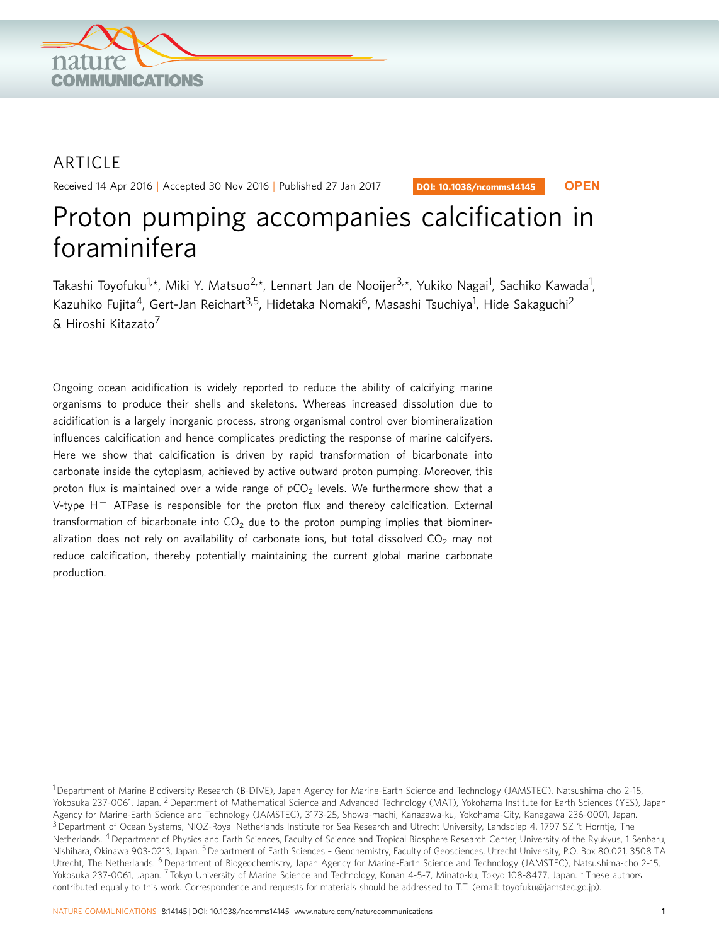

## ARTICLE

Received 14 Apr 2016 | Accepted 30 Nov 2016 | Published 27 Jan 2017

DOI: 10.1038/ncomms14145 **OPEN**

# Proton pumping accompanies calcification in foraminifera

Takashi Toyofuku<sup>1,</sup>\*, Miki Y. Matsuo<sup>2,</sup>\*, Lennart Jan de Nooijer<sup>3,</sup>\*, Yukiko Nagai<sup>1</sup>, Sachiko Kawada<sup>1</sup>, Kazuhiko Fujita<sup>4</sup>, Gert-Jan Reichart<sup>3,5</sup>, Hidetaka Nomaki<sup>6</sup>, Masashi Tsuchiya<sup>1</sup>, Hide Sakaguchi<sup>2</sup> & Hiroshi Kitazato<sup>7</sup>

Ongoing ocean acidification is widely reported to reduce the ability of calcifying marine organisms to produce their shells and skeletons. Whereas increased dissolution due to acidification is a largely inorganic process, strong organismal control over biomineralization influences calcification and hence complicates predicting the response of marine calcifyers. Here we show that calcification is driven by rapid transformation of bicarbonate into carbonate inside the cytoplasm, achieved by active outward proton pumping. Moreover, this proton flux is maintained over a wide range of  $pCO<sub>2</sub>$  levels. We furthermore show that a V-type  $H^+$  ATPase is responsible for the proton flux and thereby calcification. External transformation of bicarbonate into  $CO<sub>2</sub>$  due to the proton pumping implies that biomineralization does not rely on availability of carbonate ions, but total dissolved  $CO<sub>2</sub>$  may not reduce calcification, thereby potentially maintaining the current global marine carbonate production.

<sup>1</sup>Department of Marine Biodiversity Research (B-DIVE), Japan Agency for Marine-Earth Science and Technology (JAMSTEC), Natsushima-cho 2-15, Yokosuka 237-0061, Japan. <sup>2</sup> Department of Mathematical Science and Advanced Technology (MAT), Yokohama Institute for Earth Sciences (YES), Japan Agency for Marine-Earth Science and Technology (JAMSTEC), 3173-25, Showa-machi, Kanazawa-ku, Yokohama-City, Kanagawa 236-0001, Japan. <sup>3</sup> Department of Ocean Systems, NIOZ-Royal Netherlands Institute for Sea Research and Utrecht University, Landsdiep 4, 1797 SZ 't Horntje, The Netherlands. 4Department of Physics and Earth Sciences, Faculty of Science and Tropical Biosphere Research Center, University of the Ryukyus, 1 Senbaru, Nishihara, Okinawa 903-0213, Japan. <sup>5</sup> Department of Earth Sciences - Geochemistry, Faculty of Geosciences, Utrecht University, P.O. Box 80.021, 3508 TA Utrecht, The Netherlands. <sup>6</sup> Department of Biogeochemistry, Japan Agency for Marine-Earth Science and Technology (JAMSTEC), Natsushima-cho 2-15, Yokosuka 237-0061, Japan. <sup>7</sup> Tokyo University of Marine Science and Technology, Konan 4-5-7, Minato-ku, Tokyo 108-8477, Japan. \* These authors contributed equally to this work. Correspondence and requests for materials should be addressed to T.T. (email: [toyofuku@jamstec.go.jp\)](mailto:toyofuku@jamstec.go.jp).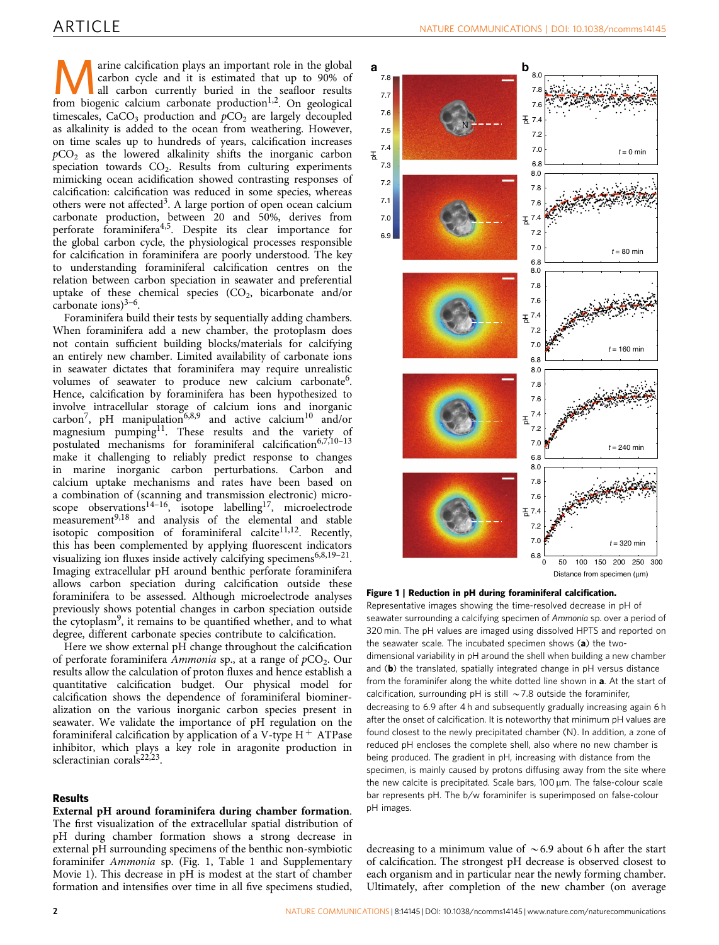<span id="page-1-0"></span>**ARRY ARRY ARRY AND CALCE CONTROVER CONTROL** carbon cycle and it is estimated that up to 90% of all carbon currently buried in the seafloor results from biogenic calcium carbonate production<sup>1,2</sup> On geological carbon cycle and it is estimated that up to 90% of from biogenic calcium carbonate production<sup>1,2</sup>. On geological timescales,  $CaCO<sub>3</sub>$  production and  $pCO<sub>2</sub>$  are largely decoupled as alkalinity is added to the ocean from weathering. However, on time scales up to hundreds of years, calcification increases  $pCO<sub>2</sub>$  as the lowered alkalinity shifts the inorganic carbon speciation towards  $CO<sub>2</sub>$ . Results from culturing experiments mimicking ocean acidification showed contrasting responses of calcification: calcification was reduced in some species, whereas others were not affected<sup>3</sup>. A large portion of open ocean calcium carbonate production, between 20 and 50%, derives from perforate foraminifera[4,5.](#page-4-0) Despite its clear importance for the global carbon cycle, the physiological processes responsible for calcification in foraminifera are poorly understood. The key to understanding foraminiferal calcification centres on the relation between carbon speciation in seawater and preferential uptake of these chemical species  $(CO<sub>2</sub>)$ , bicarbonate and/or carbonate ions) $3-6$ .

Foraminifera build their tests by sequentially adding chambers. When foraminifera add a new chamber, the protoplasm does not contain sufficient building blocks/materials for calcifying an entirely new chamber. Limited availability of carbonate ions in seawater dictates that foraminifera may require unrealistic volumes of seawater to produce new calcium carbonate<sup>6</sup>. Hence, calcification by foraminifera has been hypothesized to involve intracellular storage of calcium ions and inorganic carbon<sup>[7](#page-4-0)</sup>, pH manipulation<sup>6,8,9</sup> and active calcium<sup>10</sup> and/or magnesium pumping<sup>11</sup>. These results and the variety of postulated mechanisms for foraminiferal calcification<sup>6,7,10-13</sup> make it challenging to reliably predict response to changes in marine inorganic carbon perturbations. Carbon and calcium uptake mechanisms and rates have been based on a combination of (scanning and transmission electronic) microscope observations $14-16$ , isotope labelling $17$ , microelectrode  $m$ easurement<sup>[9,18](#page-4-0)</sup> and analysis of the elemental and stable isotopic composition of foraminiferal calcite $11,12$ . Recently, this has been complemented by applying fluorescent indicators visualizing ion fluxes inside actively calcifying specimens<sup>6,8,19-21</sup>. Imaging extracellular pH around benthic perforate foraminifera allows carbon speciation during calcification outside these foraminifera to be assessed. Although microelectrode analyses previously shows potential changes in carbon speciation outside the cytoplasm<sup>[9](#page-4-0)</sup>, it remains to be quantified whether, and to what degree, different carbonate species contribute to calcification.

Here we show external pH change throughout the calcification of perforate foraminifera Ammonia sp., at a range of  $pCO<sub>2</sub>$ . Our results allow the calculation of proton fluxes and hence establish a quantitative calcification budget. Our physical model for calcification shows the dependence of foraminiferal biomineralization on the various inorganic carbon species present in seawater. We validate the importance of pH regulation on the foraminiferal calcification by application of a V-type  $H^+$  ATPase inhibitor, which plays a key role in aragonite production in scleractinian corals<sup>[22,23](#page-5-0)</sup>.

### Results

External pH around foraminifera during chamber formation.

The first visualization of the extracellular spatial distribution of pH during chamber formation shows a strong decrease in external pH surrounding specimens of the benthic non-symbiotic foraminifer Ammonia sp. (Fig. 1, [Table 1](#page-2-0) and Supplementary Movie 1). This decrease in pH is modest at the start of chamber formation and intensifies over time in all five specimens studied,



#### Figure 1 | Reduction in pH during foraminiferal calcification.

Representative images showing the time-resolved decrease in pH of seawater surrounding a calcifying specimen of Ammonia sp. over a period of 320 min. The pH values are imaged using dissolved HPTS and reported on the seawater scale. The incubated specimen shows (a) the twodimensional variability in pH around the shell when building a new chamber and (b) the translated, spatially integrated change in pH versus distance from the foraminifer along the white dotted line shown in **a**. At the start of calcification, surrounding pH is still  $\sim$  7.8 outside the foraminifer, decreasing to 6.9 after 4 h and subsequently gradually increasing again 6 h after the onset of calcification. It is noteworthy that minimum pH values are found closest to the newly precipitated chamber (N). In addition, a zone of reduced pH encloses the complete shell, also where no new chamber is being produced. The gradient in pH, increasing with distance from the specimen, is mainly caused by protons diffusing away from the site where the new calcite is precipitated. Scale bars, 100 µm. The false-colour scale bar represents pH. The b/w foraminifer is superimposed on false-colour pH images.

decreasing to a minimum value of  $\sim 6.9$  about 6 h after the start of calcification. The strongest pH decrease is observed closest to each organism and in particular near the newly forming chamber. Ultimately, after completion of the new chamber (on average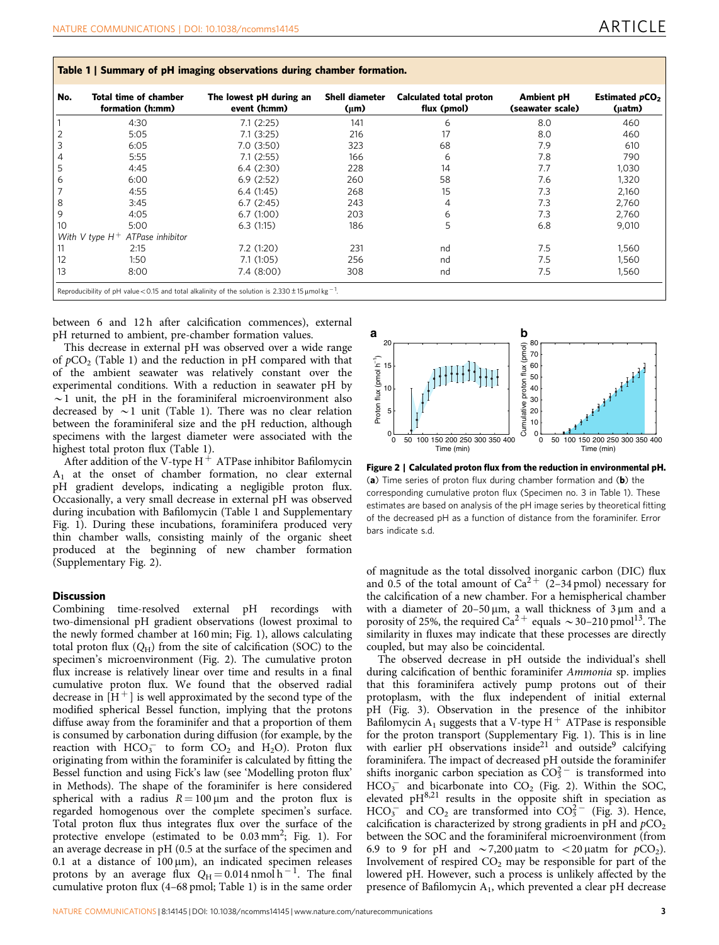<span id="page-2-0"></span>

|  |  |  |  |  | Table 1   Summary of pH imaging observations during chamber formation. |
|--|--|--|--|--|------------------------------------------------------------------------|
|--|--|--|--|--|------------------------------------------------------------------------|

| No.            | Total time of chamber<br>formation (h:mm) | The lowest pH during an<br>event (h:mm) | <b>Shell diameter</b><br>$(\mu m)$ | Calculated total proton<br>flux (pmol) | <b>Ambient pH</b><br>(seawater scale) | Estimated pCO <sub>2</sub><br>(µatm) |
|----------------|-------------------------------------------|-----------------------------------------|------------------------------------|----------------------------------------|---------------------------------------|--------------------------------------|
|                | 4:30                                      | 7.1(2:25)                               | 141                                | 6                                      | 8.0                                   | 460                                  |
| $\overline{2}$ | 5:05                                      | 7.1(3:25)                               | 216                                | 17                                     | 8.0                                   | 460                                  |
| 3              | 6:05                                      | 7.0(3:50)                               | 323                                | 68                                     | 7.9                                   | 610                                  |
| 4              | 5:55                                      | 7.1(2:55)                               | 166                                | 6                                      | 7.8                                   | 790                                  |
| 5              | 4:45                                      | 6.4(2:30)                               | 228                                | 14                                     | 7.7                                   | 1,030                                |
| 6              | 6:00                                      | 6.9(2:52)                               | 260                                | 58                                     | 7.6                                   | 1,320                                |
| 7              | 4:55                                      | 6.4(1:45)                               | 268                                | 15                                     | 7.3                                   | 2,160                                |
| 8              | 3:45                                      | 6.7(2:45)                               | 243                                | 4                                      | 7.3                                   | 2,760                                |
| 9              | 4:05                                      | 6.7(1:00)                               | 203                                | 6                                      | 7.3                                   | 2,760                                |
| 10             | 5:00                                      | 6.3(1:15)                               | 186                                | 5                                      | 6.8                                   | 9,010                                |
|                | With V type $H^+$ ATPase inhibitor        |                                         |                                    |                                        |                                       |                                      |
| 11             | 2:15                                      | 7.2(1:20)                               | 231                                | nd                                     | 7.5                                   | 1,560                                |
| 12             | 1:50                                      | 7.1(1:05)                               | 256                                | nd                                     | 7.5                                   | 1,560                                |
| 13             | 8:00                                      | 7.4(8.00)                               | 308                                | nd                                     | 7.5                                   | 1,560                                |

between 6 and 12h after calcification commences), external pH returned to ambient, pre-chamber formation values.

This decrease in external pH was observed over a wide range of  $pCO<sub>2</sub>$  (Table 1) and the reduction in pH compared with that of the ambient seawater was relatively constant over the experimental conditions. With a reduction in seawater pH by  $\sim$ 1 unit, the pH in the foraminiferal microenvironment also decreased by  $\sim$  1 unit (Table 1). There was no clear relation between the foraminiferal size and the pH reduction, although specimens with the largest diameter were associated with the highest total proton flux (Table 1).

After addition of the V-type  $H^+$  ATPase inhibitor Bafilomycin  $A_1$  at the onset of chamber formation, no clear external pH gradient develops, indicating a negligible proton flux. Occasionally, a very small decrease in external pH was observed during incubation with Bafilomycin (Table 1 and Supplementary Fig. 1). During these incubations, foraminifera produced very thin chamber walls, consisting mainly of the organic sheet produced at the beginning of new chamber formation (Supplementary Fig. 2).

#### **Discussion**

Combining time-resolved external pH recordings with two-dimensional pH gradient observations (lowest proximal to the newly formed chamber at 160 min; [Fig. 1](#page-1-0)), allows calculating total proton flux  $(Q_H)$  from the site of calcification (SOC) to the specimen's microenvironment (Fig. 2). The cumulative proton flux increase is relatively linear over time and results in a final cumulative proton flux. We found that the observed radial decrease in  $[H^+]$  is well approximated by the second type of the modified spherical Bessel function, implying that the protons diffuse away from the foraminifer and that a proportion of them is consumed by carbonation during diffusion (for example, by the reaction with  $HCO_3^-$  to form  $CO_2$  and  $H_2O$ ). Proton flux originating from within the foraminifer is calculated by fitting the Bessel function and using Fick's law (see 'Modelling proton flux' in Methods). The shape of the foraminifer is here considered spherical with a radius  $R = 100 \mu m$  and the proton flux is regarded homogenous over the complete specimen's surface. Total proton flux thus integrates flux over the surface of the protective envelope (estimated to be 0.03 mm<sup>2</sup>; [Fig. 1](#page-1-0)). For an average decrease in pH (0.5 at the surface of the specimen and 0.1 at a distance of  $100 \,\mu m$ ), an indicated specimen releases protons by an average flux  $Q_H = 0.014$  nmol h <sup>-1</sup>. The final cumulative proton flux (4–68 pmol; Table 1) is in the same order



Figure 2 | Calculated proton flux from the reduction in environmental pH. (a) Time series of proton flux during chamber formation and  $(b)$  the corresponding cumulative proton flux (Specimen no. 3 in Table 1). These estimates are based on analysis of the pH image series by theoretical fitting of the decreased pH as a function of distance from the foraminifer. Error bars indicate s.d.

of magnitude as the total dissolved inorganic carbon (DIC) flux and 0.5 of the total amount of  $Ca^{2+}$  (2–34 pmol) necessary for the calcification of a new chamber. For a hemispherical chamber with a diameter of  $20-50 \,\mu m$ , a wall thickness of  $3 \,\mu m$  and a porosity of 25%, the required Ca<sup>2+</sup> equals  $\sim$  30–210 pmol<sup>[13](#page-4-0)</sup>. The similarity in fluxes may indicate that these processes are directly coupled, but may also be coincidental.

The observed decrease in pH outside the individual's shell during calcification of benthic foraminifer Ammonia sp. implies that this foraminifera actively pump protons out of their protoplasm, with the flux independent of initial external pH [\(Fig. 3](#page-3-0)). Observation in the presence of the inhibitor Bafilomycin A<sub>1</sub> suggests that a V-type  $H^+$  ATPase is responsible for the proton transport (Supplementary Fig. 1). This is in line with earlier pH observations inside<sup>21</sup> and outside<sup>[9](#page-4-0)</sup> calcifying foraminifera. The impact of decreased pH outside the foraminifer shifts inorganic carbon speciation as  $CO_3^{2-}$  is transformed into  $HCO_3^-$  and bicarbonate into  $CO_2$  (Fig. 2). Within the SOC, elevated pH<sup>[8,21](#page-4-0)</sup> results in the opposite shift in speciation as  $HCO_3^-$  and  $CO_2$  are transformed into  $CO_3^{2-}$  ([Fig. 3\)](#page-3-0). Hence, calcification is characterized by strong gradients in pH and  $pCO<sub>2</sub>$ between the SOC and the foraminiferal microenvironment (from 6.9 to 9 for pH and  $\sim$  7,200 µatm to  $\lt$  20 µatm for pCO<sub>2</sub>). Involvement of respired  $CO<sub>2</sub>$  may be responsible for part of the lowered pH. However, such a process is unlikely affected by the presence of Bafilomycin A1, which prevented a clear pH decrease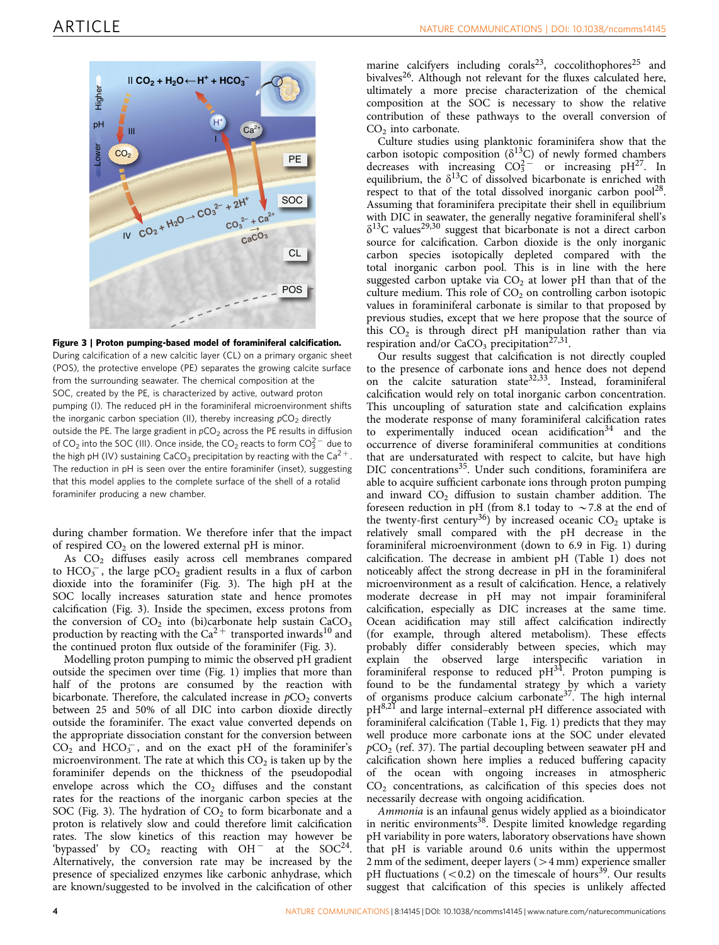<span id="page-3-0"></span>

Figure 3 | Proton pumping-based model of foraminiferal calcification. During calcification of a new calcitic layer (CL) on a primary organic sheet (POS), the protective envelope (PE) separates the growing calcite surface from the surrounding seawater. The chemical composition at the SOC, created by the PE, is characterized by active, outward proton pumping (I). The reduced pH in the foraminiferal microenvironment shifts the inorganic carbon speciation (II), thereby increasing  $pCO<sub>2</sub>$  directly outside the PE. The large gradient in  $pCO<sub>2</sub>$  across the PE results in diffusion of CO<sub>2</sub> into the SOC (III). Once inside, the CO<sub>2</sub> reacts to form CO $_3^{2-}$  due to the high pH (IV) sustaining CaCO<sub>3</sub> precipitation by reacting with the Ca<sup>2+</sup>. The reduction in pH is seen over the entire foraminifer (inset), suggesting that this model applies to the complete surface of the shell of a rotalid foraminifer producing a new chamber.

during chamber formation. We therefore infer that the impact of respired  $CO<sub>2</sub>$  on the lowered external pH is minor.

As CO<sub>2</sub> diffuses easily across cell membranes compared to  $\text{HCO}_3^-$ , the large pCO<sub>2</sub> gradient results in a flux of carbon dioxide into the foraminifer (Fig. 3). The high pH at the SOC locally increases saturation state and hence promotes calcification (Fig. 3). Inside the specimen, excess protons from the conversion of  $CO<sub>2</sub>$  into (bi)carbonate help sustain  $CaCO<sub>3</sub>$ production by reacting with the  $Ca^{2+}$  transported inwards<sup>[10](#page-4-0)</sup> and the continued proton flux outside of the foraminifer (Fig. 3).

Modelling proton pumping to mimic the observed pH gradient outside the specimen over time ([Fig. 1\)](#page-1-0) implies that more than half of the protons are consumed by the reaction with bicarbonate. Therefore, the calculated increase in  $pCO<sub>2</sub>$  converts between 25 and 50% of all DIC into carbon dioxide directly outside the foraminifer. The exact value converted depends on the appropriate dissociation constant for the conversion between  $CO<sub>2</sub>$  and HCO<sub>3</sub><sup>-</sup>, and on the exact pH of the foraminifer's microenvironment. The rate at which this  $CO<sub>2</sub>$  is taken up by the foraminifer depends on the thickness of the pseudopodial envelope across which the  $CO<sub>2</sub>$  diffuses and the constant rates for the reactions of the inorganic carbon species at the SOC (Fig. 3). The hydration of  $CO<sub>2</sub>$  to form bicarbonate and a proton is relatively slow and could therefore limit calcification rates. The slow kinetics of this reaction may however be 'bypassed' by  $CO_2$  reacting with  $OH^-$  at the SOC<sup>24</sup>. Alternatively, the conversion rate may be increased by the presence of specialized enzymes like carbonic anhydrase, which are known/suggested to be involved in the calcification of other

marine calcifyers including corals<sup>[23](#page-5-0)</sup>, coccolithophores<sup>[25](#page-5-0)</sup> and bivalves<sup>26</sup>. Although not relevant for the fluxes calculated here, ultimately a more precise characterization of the chemical composition at the SOC is necessary to show the relative contribution of these pathways to the overall conversion of  $CO<sub>2</sub>$  into carbonate.

Culture studies using planktonic foraminifera show that the carbon isotopic composition ( $\delta^{13}$ C) of newly formed chambers decreases with increasing  $CO_3^{2-}$  or increasing pH<sup>[27](#page-5-0)</sup>. In equilibrium, the  $\delta^{13}C$  of dissolved bicarbonate is enriched with respect to that of the total dissolved inorganic carbon pool $128$ . Assuming that foraminifera precipitate their shell in equilibrium with DIC in seawater, the generally negative foraminiferal shell's  $\delta^{13}$ C values<sup>[29,30](#page-5-0)</sup> suggest that bicarbonate is not a direct carbon source for calcification. Carbon dioxide is the only inorganic carbon species isotopically depleted compared with the total inorganic carbon pool. This is in line with the here suggested carbon uptake via  $CO<sub>2</sub>$  at lower pH than that of the culture medium. This role of  $CO<sub>2</sub>$  on controlling carbon isotopic values in foraminiferal carbonate is similar to that proposed by previous studies, except that we here propose that the source of this  $CO<sub>2</sub>$  is through direct pH manipulation rather than via respiration and/or  $CaCO<sub>3</sub>$  precipitation<sup>27,31</sup>.

Our results suggest that calcification is not directly coupled to the presence of carbonate ions and hence does not depend on the calcite saturation state[32,33.](#page-5-0) Instead, foraminiferal calcification would rely on total inorganic carbon concentration. This uncoupling of saturation state and calcification explains the moderate response of many foraminiferal calcification rates to experimentally induced ocean acidification $34$  and the occurrence of diverse foraminiferal communities at conditions that are undersaturated with respect to calcite, but have high DIC concentrations<sup>[35](#page-5-0)</sup>. Under such conditions, foraminifera are able to acquire sufficient carbonate ions through proton pumping and inward  $CO<sub>2</sub>$  diffusion to sustain chamber addition. The foreseen reduction in pH (from 8.1 today to  $\sim$  7.8 at the end of the twenty-first century<sup>[36](#page-5-0)</sup>) by increased oceanic  $CO<sub>2</sub>$  uptake is relatively small compared with the pH decrease in the foraminiferal microenvironment (down to 6.9 in [Fig. 1](#page-1-0)) during calcification. The decrease in ambient pH [\(Table 1](#page-2-0)) does not noticeably affect the strong decrease in pH in the foraminiferal microenvironment as a result of calcification. Hence, a relatively moderate decrease in pH may not impair foraminiferal calcification, especially as DIC increases at the same time. Ocean acidification may still affect calcification indirectly (for example, through altered metabolism). These effects probably differ considerably between species, which may explain the observed large interspecific variation in foraminiferal response to reduced  $pH^{34}$ . Proton pumping is found to be the fundamental strategy by which a variety of organisms produce calcium carbonate<sup>37</sup>. The high internal  $pH<sup>8,21</sup>$  $pH<sup>8,21</sup>$  $pH<sup>8,21</sup>$  and large internal–external pH difference associated with foraminiferal calcification ([Table 1,](#page-2-0) [Fig. 1\)](#page-1-0) predicts that they may well produce more carbonate ions at the SOC under elevated  $pCO<sub>2</sub>$  ([ref. 37](#page-5-0)). The partial decoupling between seawater pH and calcification shown here implies a reduced buffering capacity of the ocean with ongoing increases in atmospheric  $CO<sub>2</sub>$  concentrations, as calcification of this species does not necessarily decrease with ongoing acidification.

Ammonia is an infaunal genus widely applied as a bioindicator in neritic environments<sup>38</sup>. Despite limited knowledge regarding pH variability in pore waters, laboratory observations have shown that pH is variable around 0.6 units within the uppermost 2 mm of the sediment, deeper layers  $(>4$  mm) experience smaller pH fluctuations  $(< 0.2)$  on the timescale of hours<sup>[39](#page-5-0)</sup>. Our results suggest that calcification of this species is unlikely affected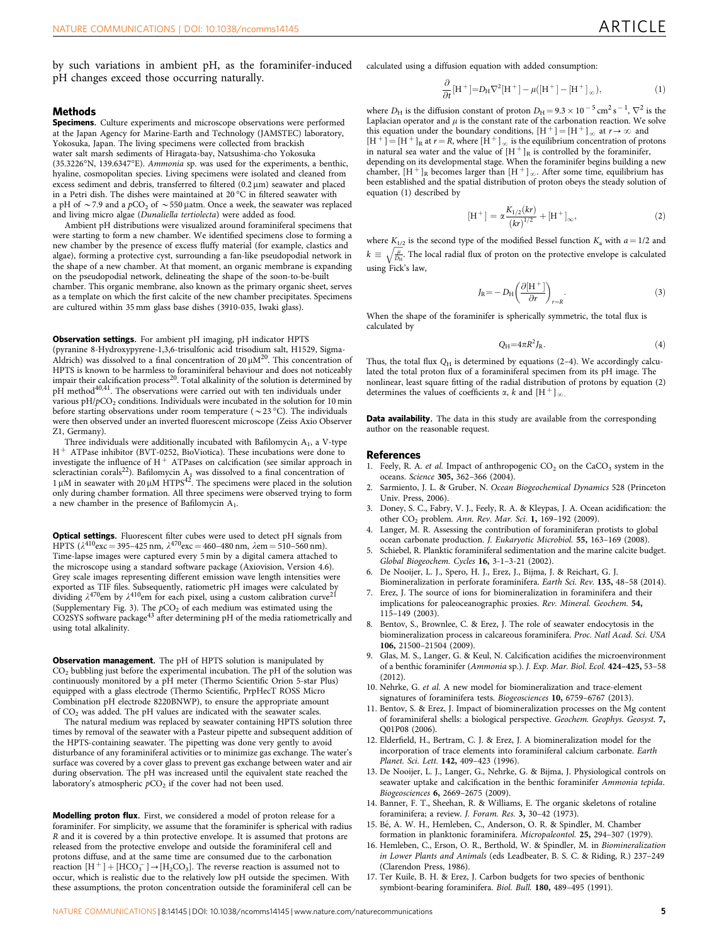<span id="page-4-0"></span>by such variations in ambient pH, as the foraminifer-induced pH changes exceed those occurring naturally.

### Methods

Specimens. Culture experiments and microscope observations were performed at the Japan Agency for Marine-Earth and Technology (JAMSTEC) laboratory, Yokosuka, Japan. The living specimens were collected from brackish water salt marsh sediments of Hiragata-bay, Natsushima-cho Yokosuka  $(35.3226\textdegree N, 139.6347\textdegree E)$ . Ammonia sp. was used for the experiments, a benthic, hyaline, cosmopolitan species. Living specimens were isolated and cleaned from excess sediment and debris, transferred to filtered  $(0.2 \,\mu\text{m})$  seawater and placed in a Petri dish. The dishes were maintained at 20  $^{\circ}$ C in filtered seawater with a pH of  $\sim$  7.9 and a pCO<sub>2</sub> of  $\sim$  550 µatm. Once a week, the seawater was replaced and living micro algae (Dunaliella tertiolecta) were added as food.

Ambient pH distributions were visualized around foraminiferal specimens that were starting to form a new chamber. We identified specimens close to forming a new chamber by the presence of excess fluffy material (for example, clastics and algae), forming a protective cyst, surrounding a fan-like pseudopodial network in the shape of a new chamber. At that moment, an organic membrane is expanding on the pseudopodial network, delineating the shape of the soon-to-be-built chamber. This organic membrane, also known as the primary organic sheet, serves as a template on which the first calcite of the new chamber precipitates. Specimens are cultured within 35 mm glass base dishes (3910-035, Iwaki glass).

Observation settings. For ambient pH imaging, pH indicator HPTS (pyranine 8-Hydroxypyrene-1,3,6-trisulfonic acid trisodium salt, H1529, Sigma-Aldrich) was dissolved to a final concentration of  $20 \mu M^{20}$ . This concentration of HPTS is known to be harmless to foraminiferal behaviour and does not noticeably impair their calcification process<sup>[20](#page-5-0)</sup>. Total alkalinity of the solution is determined by  $pH$  method<sup>[40,41](#page-5-0)</sup>. The observations were carried out with ten individuals under various  $pH/pCO<sub>2</sub>$  conditions. Individuals were incubated in the solution for 10 min before starting observations under room temperature (  $\sim$  23 °C). The individuals were then observed under an inverted fluorescent microscope (Zeiss Axio Observer Z1, Germany).

Three individuals were additionally incubated with Bafilomycin  $A_1$ , a V-type  $H<sup>+</sup>$  ATPase inhibitor (BVT-0252, BioViotica). These incubations were done to investigate the influence of  $H^+$  ATPases on calcification (see similar approach in scleractinian corals<sup>22</sup>). Bafilomycin A<sub>1</sub> was dissolved to a final concentration of  $1 \mu$ M in seawater with 20  $\mu$ M HTPS<sup>42</sup>. The specimens were placed in the solution only during chamber formation. All three specimens were observed trying to form a new chamber in the presence of Bafilomycin A1.

Optical settings. Fluorescent filter cubes were used to detect pH signals from HPTS ( $\lambda^{410}$ exc = 395–425 nm,  $\lambda^{470}$ exc = 460–480 nm,  $\lambda$ em = 510–560 nm). Time-lapse images were captured every 5 min by a digital camera attached to the microscope using a standard software package (Axiovision, Version 4.6). Grey scale images representing different emission wave length intensities were exported as TIF files. Subsequently, ratiometric pH images were calculated by<br>dividing  $\lambda^{470}$ em by  $\lambda^{410}$ em for each pixel, using a custom calibration curve<sup>21</sup> (Supplementary Fig. 3). The  $pCO<sub>2</sub>$  of each medium was estimated using the CO2SYS software package<sup>[43](#page-5-0)</sup> after determining pH of the media ratiometrically and using total alkalinity.

Observation management. The pH of HPTS solution is manipulated by CO2 bubbling just before the experimental incubation. The pH of the solution was continuously monitored by a pH meter (Thermo Scientific Orion 5-star Plus) equipped with a glass electrode (Thermo Scientific, PrpHecT ROSS Micro Combination pH electrode 8220BNWP), to ensure the appropriate amount of  $CO<sub>2</sub>$  was added. The pH values are indicated with the seawater scales.

The natural medium was replaced by seawater containing HPTS solution three times by removal of the seawater with a Pasteur pipette and subsequent addition of the HPTS-containing seawater. The pipetting was done very gently to avoid disturbance of any foraminiferal activities or to minimize gas exchange. The water's surface was covered by a cover glass to prevent gas exchange between water and air during observation. The pH was increased until the equivalent state reached the laboratory's atmospheric  $pCO<sub>2</sub>$  if the cover had not been used.

Modelling proton flux. First, we considered a model of proton release for a foraminifer. For simplicity, we assume that the foraminifer is spherical with radius R and it is covered by a thin protective envelope. It is assumed that protons are released from the protective envelope and outside the foraminiferal cell and protons diffuse, and at the same time are consumed due to the carbonation reaction  $[H^+] + [HCO_3^-] \rightarrow [H_2CO_3]$ . The reverse reaction is assumed not to occur, which is realistic due to the relatively low pH outside the specimen. With these assumptions, the proton concentration outside the foraminiferal cell can be

calculated using a diffusion equation with added consumption:

$$
\frac{\partial}{\partial t}[\mathbf{H}^+] = D_{\mathbf{H}} \nabla^2 [\mathbf{H}^+] - \mu([\mathbf{H}^+] - [\mathbf{H}^+]_{\infty}),\tag{1}
$$

where  $D_H$  is the diffusion constant of proton  $D_H = 9.3 \times 10^{-5} \text{ cm}^2 \text{ s}^{-1}$ ,  $\nabla^2$  is the Laplacian operator and  $\mu$  is the constant rate of the carbonation reaction. We solve this equation under the boundary conditions,  $[H^+] = [H^+]_{\infty}$  at  $r \to \infty$  and  $[H^+] = [H^+]_R$  at  $r = R$ , where  $[H^+]_{\infty}$  is the equilibrium concentration of protons

in natural sea water and the value of  $[H^+]_R$  is controlled by the foraminifer, depending on its developmental stage. When the foraminifer begins building a new chamber,  $[H^+]_R$  becomes larger than  $[H^+]_{\infty}$ . After some time, equilibrium has been established and the spatial distribution of proton obeys the steady solution of equation (1) described by

$$
[\mathrm{H}^+] = \alpha \frac{K_{1/2}(kr)}{(kr)^{1/2}} + [\mathrm{H}^+]_{\infty}, \tag{2}
$$

where  $K_{1/2}$  is the second type of the modified Bessel function  $K_a$  with  $a = 1/2$  and  $k \equiv \sqrt{\frac{\mu}{D_{\rm H}}}$  $\sqrt{\frac{\mu}{\rho_{\rm o}}}$ . The local radial flux of proton on the protective envelope is calculated using Fick's law,

$$
J_{\rm R} = -D_{\rm H} \left( \frac{\partial [\rm H^+]}{\partial r} \right)_{r=R} . \tag{3}
$$

When the shape of the foraminifer is spherically symmetric, the total flux is calculated by

$$
Q_H = 4\pi R^2 J_R. \tag{4}
$$

Thus, the total flux  $Q_H$  is determined by equations (2-4). We accordingly calculated the total proton flux of a foraminiferal specimen from its pH image. The nonlinear, least square fitting of the radial distribution of protons by equation (2) determines the values of coefficients  $\alpha$ , k and  $[H^+]_{\infty}$ .

Data availability. The data in this study are available from the corresponding author on the reasonable request.

#### References

- 1. Feely, R. A. et al. Impact of anthropogenic  $CO<sub>2</sub>$  on the CaCO<sub>3</sub> system in the oceans. Science 305, 362–366 (2004).
- Sarmiento, J. L. & Gruber, N. Ocean Biogeochemical Dynamics 528 (Princeton Univ. Press, 2006).
- 3. Doney, S. C., Fabry, V. J., Feely, R. A. & Kleypas, J. A. Ocean acidification: the other CO2 problem. Ann. Rev. Mar. Sci. 1, 169–192 (2009).
- 4. Langer, M. R. Assessing the contribution of foraminiferan protists to global ocean carbonate production. J. Eukaryotic Microbiol. 55, 163–169 (2008).
- 5. Schiebel, R. Planktic foraminiferal sedimentation and the marine calcite budget. Global Biogeochem. Cycles 16, 3-1–3-21 (2002).
- 6. De Nooijer, L. J., Spero, H. J., Erez, J., Bijma, J. & Reichart, G. J. Biomineralization in perforate foraminifera. Earth Sci. Rev. 135, 48–58 (2014).
- 7. Erez, J. The source of ions for biomineralization in foraminifera and their implications for paleoceanographic proxies. Rev. Mineral. Geochem. 54, 115–149 (2003).
- 8. Bentov, S., Brownlee, C. & Erez, J. The role of seawater endocytosis in the biomineralization process in calcareous foraminifera. Proc. Natl Acad. Sci. USA 106, 21500–21504 (2009).
- 9. Glas, M. S., Langer, G. & Keul, N. Calcification acidifies the microenvironment of a benthic foraminifer (Ammonia sp.). J. Exp. Mar. Biol. Ecol. 424–425, 53–58 (2012).
- 10. Nehrke, G. et al. A new model for biomineralization and trace-element signatures of foraminifera tests. Biogeosciences 10, 6759-6767 (2013).
- 11. Bentov, S. & Erez, J. Impact of biomineralization processes on the Mg content of foraminiferal shells: a biological perspective. Geochem. Geophys. Geosyst. 7, Q01P08 (2006).
- 12. Elderfield, H., Bertram, C. J. & Erez, J. A biomineralization model for the incorporation of trace elements into foraminiferal calcium carbonate. Earth Planet. Sci. Lett. 142, 409–423 (1996).
- 13. De Nooijer, L. J., Langer, G., Nehrke, G. & Bijma, J. Physiological controls on seawater uptake and calcification in the benthic foraminifer Ammonia tepida. Biogeosciences 6, 2669–2675 (2009).
- 14. Banner, F. T., Sheehan, R. & Williams, E. The organic skeletons of rotaline foraminifera; a review. J. Foram. Res. 3, 30–42 (1973).
- 15. Bé, A. W. H., Hemleben, C., Anderson, O. R. & Spindler, M. Chamber formation in planktonic foraminifera. Micropaleontol. 25, 294–307 (1979).
- 16. Hemleben, C., Erson, O. R., Berthold, W. & Spindler, M. in Biomineralization in Lower Plants and Animals (eds Leadbeater, B. S. C. & Riding, R.) 237–249 (Clarendon Press, 1986).
- 17. Ter Kuile, B. H. & Erez, J. Carbon budgets for two species of benthonic symbiont-bearing foraminifera. Biol. Bull. 180, 489–495 (1991).